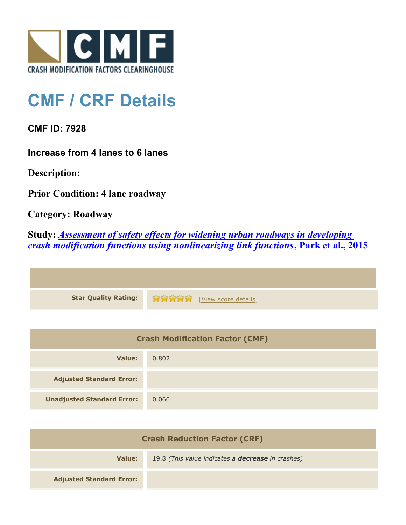

## **CMF / CRF Details**

**CMF ID: 7928**

**Increase from 4 lanes to 6 lanes**

**Description:** 

**Prior Condition: 4 lane roadway**

**Category: Roadway**

**Study:** *[Assessment of safety effects for widening urban roadways in developing](http://www.cmfclearinghouse.org/study_detail.cfm?stid=438) [crash modification functions using nonlinearizing link functions](http://www.cmfclearinghouse.org/study_detail.cfm?stid=438)***[, Park et al., 2015](http://www.cmfclearinghouse.org/study_detail.cfm?stid=438)**

| Star Quality Rating: 12 May 20 [View score details] |
|-----------------------------------------------------|

| <b>Crash Modification Factor (CMF)</b> |       |
|----------------------------------------|-------|
| Value:                                 | 0.802 |
| <b>Adjusted Standard Error:</b>        |       |
| <b>Unadjusted Standard Error:</b>      | 0.066 |

| <b>Crash Reduction Factor (CRF)</b> |                                                          |
|-------------------------------------|----------------------------------------------------------|
| Value:                              | 19.8 (This value indicates a <b>decrease</b> in crashes) |
| <b>Adjusted Standard Error:</b>     |                                                          |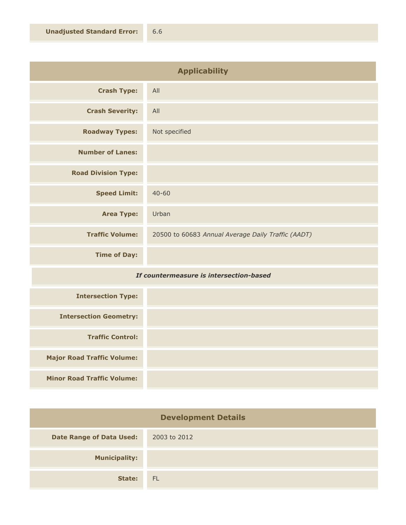| <b>Applicability</b>                                                |                                                    |
|---------------------------------------------------------------------|----------------------------------------------------|
| <b>Crash Type:</b>                                                  | All                                                |
| <b>Crash Severity:</b>                                              | All                                                |
| <b>Roadway Types:</b>                                               | Not specified                                      |
| <b>Number of Lanes:</b>                                             |                                                    |
| <b>Road Division Type:</b>                                          |                                                    |
| <b>Speed Limit:</b>                                                 | $40 - 60$                                          |
| <b>Area Type:</b>                                                   | Urban                                              |
| <b>Traffic Volume:</b>                                              | 20500 to 60683 Annual Average Daily Traffic (AADT) |
| <b>Time of Day:</b>                                                 |                                                    |
| $T_{\rm eff}$ and $T_{\rm eff}$<br>isiins ta tuksusa aktan. kaasad: |                                                    |

## *If countermeasure is intersection-based*

| <b>Intersection Type:</b>         |  |
|-----------------------------------|--|
| <b>Intersection Geometry:</b>     |  |
| <b>Traffic Control:</b>           |  |
| <b>Major Road Traffic Volume:</b> |  |
| <b>Minor Road Traffic Volume:</b> |  |

| <b>Development Details</b>      |              |
|---------------------------------|--------------|
| <b>Date Range of Data Used:</b> | 2003 to 2012 |
| <b>Municipality:</b>            |              |
| State:                          | <b>FL</b>    |